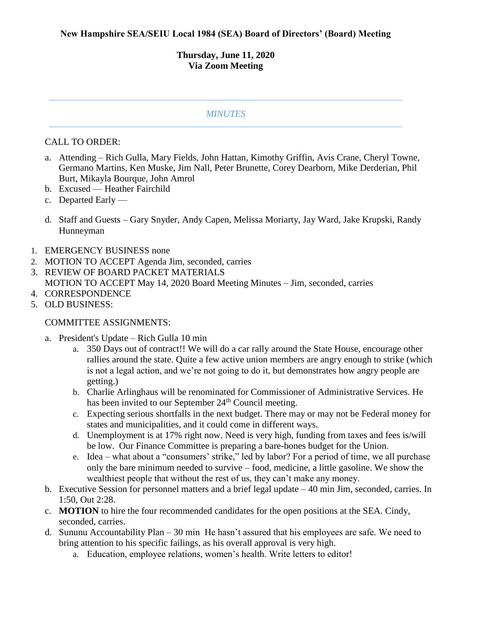## **Thursday, June 11, 2020 Via Zoom Meeting**

## *MINUTES*

## CALL TO ORDER:

- a. Attending Rich Gulla, Mary Fields, John Hattan, Kimothy Griffin, Avis Crane, Cheryl Towne, Germano Martins, Ken Muske, Jim Nall, Peter Brunette, Corey Dearborn, Mike Derderian, Phil Burt, Mikayla Bourque, John Amrol
- b. Excused Heather Fairchild
- c. Departed Early —
- d. Staff and Guests Gary Snyder, Andy Capen, Melissa Moriarty, Jay Ward, Jake Krupski, Randy Hunneyman
- 1. EMERGENCY BUSINESS none
- 2. MOTION TO ACCEPT Agenda Jim, seconded, carries
- 3. REVIEW OF BOARD PACKET MATERIALS
- MOTION TO ACCEPT May 14, 2020 Board Meeting Minutes Jim, seconded, carries
- 4. CORRESPONDENCE
- 5. OLD BUSINESS:

## COMMITTEE ASSIGNMENTS:

- a. President's Update Rich Gulla 10 min
	- a. 350 Days out of contract!! We will do a car rally around the State House, encourage other rallies around the state. Quite a few active union members are angry enough to strike (which is not a legal action, and we're not going to do it, but demonstrates how angry people are getting.)
	- b. Charlie Arlinghaus will be renominated for Commissioner of Administrative Services. He has been invited to our September 24<sup>th</sup> Council meeting.
	- c. Expecting serious shortfalls in the next budget. There may or may not be Federal money for states and municipalities, and it could come in different ways.
	- d. Unemployment is at 17% right now. Need is very high, funding from taxes and fees is/will be low. Our Finance Committee is preparing a bare-bones budget for the Union.
	- e. Idea what about a "consumers' strike," led by labor? For a period of time, we all purchase only the bare minimum needed to survive – food, medicine, a little gasoline. We show the wealthiest people that without the rest of us, they can't make any money.
- b. Executive Session for personnel matters and a brief legal update 40 min Jim, seconded, carries. In 1:50, Out 2:28.
- c. **MOTION** to hire the four recommended candidates for the open positions at the SEA. Cindy, seconded, carries.
- d. Sununu Accountability Plan 30 min He hasn't assured that his employees are safe. We need to bring attention to his specific failings, as his overall approval is very high.
	- a. Education, employee relations, women's health. Write letters to editor!